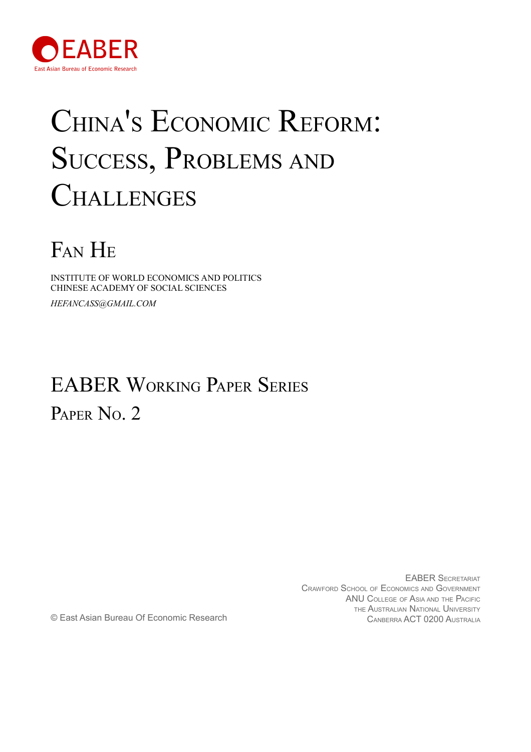

# CHINA'S ECONOMIC REFORM: SUCCESS, PROBLEMS AND **CHALLENGES**

## FAN H<sup>E</sup>

INSTITUTE OF WORLD ECONOMICS AND POLITICS CHINESE ACADEMY OF SOCIAL SCIENCES *HEFANCASS@GMAIL.COM*

### EABER WORKING PAPER SERIES PAPER No. 2

EABER SECRETARIAT CRAWFORD SCHOOL OF ECONOMICS AND GOVERNMENT ANU COLLEGE OF ASIA AND THE PACIFIC THE AUSTRALIAN NATIONAL UNIVERSITY CANBERRA ACT 0200 AUSTRALIA CANBERRA ACT 0200 AUSTRALIA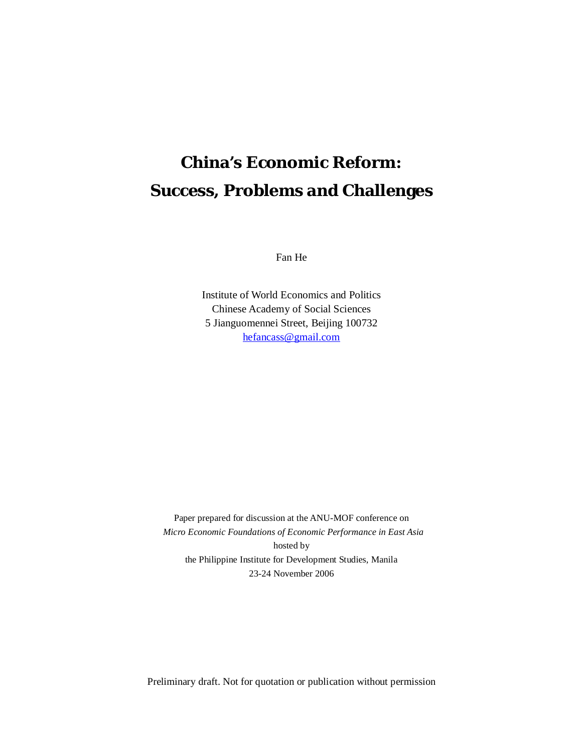### **China's Economic Reform: Success, Problems and Challenges**

Fan He

Institute of World Economics and Politics Chinese Academy of Social Sciences 5 Jianguomennei Street, Beijing 100732 [hefancass@gmail.com](mailto:hefancass@gmail.com)

Paper prepared for discussion at the ANU-MOF conference on *Micro Economic Foundations of Economic Performance in East Asia*  hosted by the Philippine Institute for Development Studies, Manila 23-24 November 2006

Preliminary draft. Not for quotation or publication without permission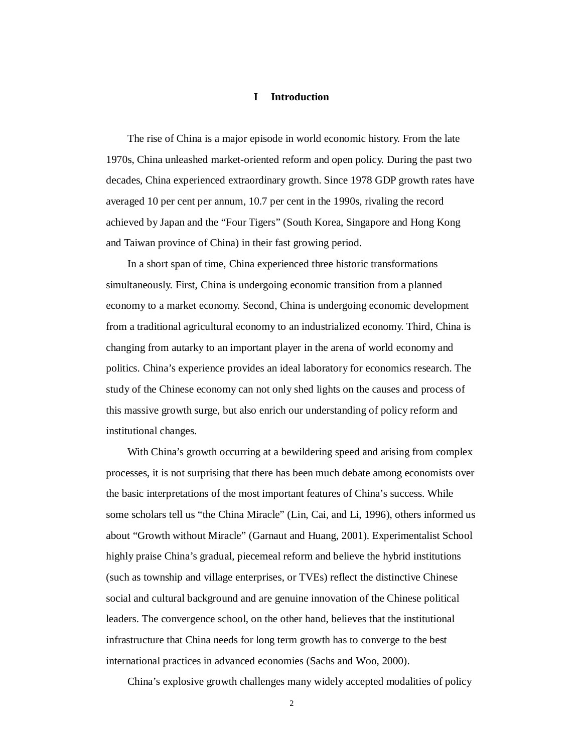#### **I Introduction**

The rise of China is a major episode in world economic history. From the late 1970s, China unleashed market-oriented reform and open policy. During the past two decades, China experienced extraordinary growth. Since 1978 GDP growth rates have averaged 10 per cent per annum, 10.7 per cent in the 1990s, rivaling the record achieved by Japan and the "Four Tigers" (South Korea, Singapore and Hong Kong and Taiwan province of China) in their fast growing period.

In a short span of time, China experienced three historic transformations simultaneously. First, China is undergoing economic transition from a planned economy to a market economy. Second, China is undergoing economic development from a traditional agricultural economy to an industrialized economy. Third, China is changing from autarky to an important player in the arena of world economy and politics. China's experience provides an ideal laboratory for economics research. The study of the Chinese economy can not only shed lights on the causes and process of this massive growth surge, but also enrich our understanding of policy reform and institutional changes.

With China's growth occurring at a bewildering speed and arising from complex processes, it is not surprising that there has been much debate among economists over the basic interpretations of the most important features of China's success. While some scholars tell us "the China Miracle" (Lin, Cai, and Li, 1996), others informed us about "Growth without Miracle" (Garnaut and Huang, 2001). Experimentalist School highly praise China's gradual, piecemeal reform and believe the hybrid institutions (such as township and village enterprises, or TVEs) reflect the distinctive Chinese social and cultural background and are genuine innovation of the Chinese political leaders. The convergence school, on the other hand, believes that the institutional infrastructure that China needs for long term growth has to converge to the best international practices in advanced economies (Sachs and Woo, 2000).

China's explosive growth challenges many widely accepted modalities of policy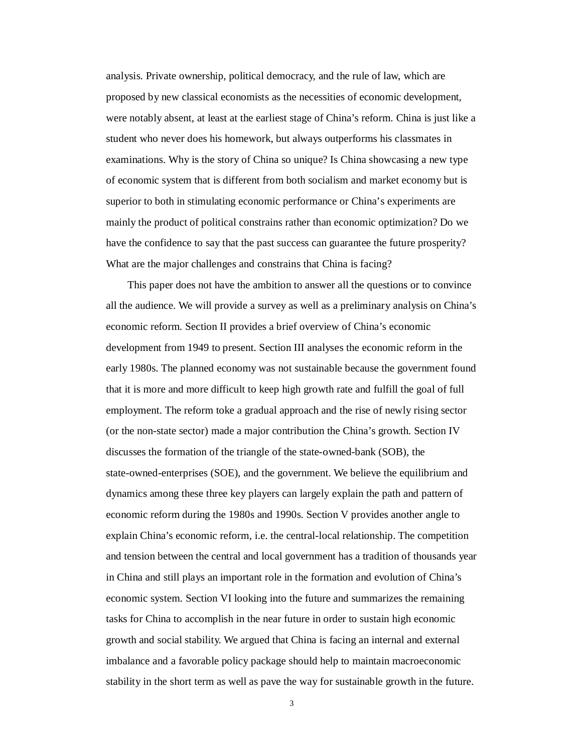analysis. Private ownership, political democracy, and the rule of law, which are proposed by new classical economists as the necessities of economic development, were notably absent, at least at the earliest stage of China's reform. China is just like a student who never does his homework, but always outperforms his classmates in examinations. Why is the story of China so unique? Is China showcasing a new type of economic system that is different from both socialism and market economy but is superior to both in stimulating economic performance or China's experiments are mainly the product of political constrains rather than economic optimization? Do we have the confidence to say that the past success can guarantee the future prosperity? What are the major challenges and constrains that China is facing?

This paper does not have the ambition to answer all the questions or to convince all the audience. We will provide a survey as well as a preliminary analysis on China's economic reform. Section II provides a brief overview of China's economic development from 1949 to present. Section III analyses the economic reform in the early 1980s. The planned economy was not sustainable because the government found that it is more and more difficult to keep high growth rate and fulfill the goal of full employment. The reform toke a gradual approach and the rise of newly rising sector (or the non-state sector) made a major contribution the China's growth. Section IV discusses the formation of the triangle of the state-owned-bank (SOB), the state-owned-enterprises (SOE), and the government. We believe the equilibrium and dynamics among these three key players can largely explain the path and pattern of economic reform during the 1980s and 1990s. Section V provides another angle to explain China's economic reform, i.e. the central-local relationship. The competition and tension between the central and local government has a tradition of thousands year in China and still plays an important role in the formation and evolution of China's economic system. Section VI looking into the future and summarizes the remaining tasks for China to accomplish in the near future in order to sustain high economic growth and social stability. We argued that China is facing an internal and external imbalance and a favorable policy package should help to maintain macroeconomic stability in the short term as well as pave the way for sustainable growth in the future.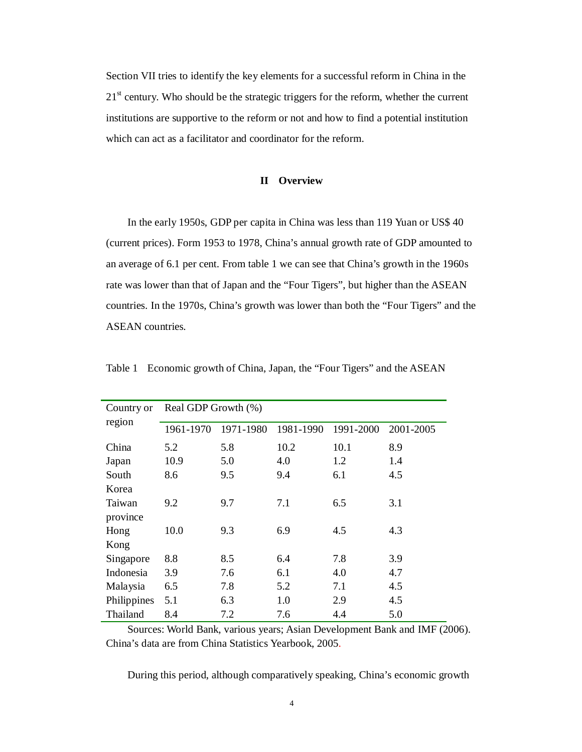Section VII tries to identify the key elements for a successful reform in China in the  $21<sup>st</sup>$  century. Who should be the strategic triggers for the reform, whether the current institutions are supportive to the reform or not and how to find a potential institution which can act as a facilitator and coordinator for the reform.

#### **II Overview**

In the early 1950s, GDP per capita in China was less than 119 Yuan or US\$ 40 (current prices). Form 1953 to 1978, China's annual growth rate of GDP amounted to an average of 6.1 per cent. From table 1 we can see that China's growth in the 1960s rate was lower than that of Japan and the "Four Tigers", but higher than the ASEAN countries. In the 1970s, China's growth was lower than both the "Four Tigers" and the ASEAN countries.

| Country or  | Real GDP Growth (%) |           |           |           |           |  |  |  |
|-------------|---------------------|-----------|-----------|-----------|-----------|--|--|--|
| region      | 1961-1970           | 1971-1980 | 1981-1990 | 1991-2000 | 2001-2005 |  |  |  |
| China       | 5.2                 | 5.8       | 10.2      | 10.1      | 8.9       |  |  |  |
| Japan       | 10.9                | 5.0       | 4.0       | 1.2       | 1.4       |  |  |  |
| South       | 8.6                 | 9.5       | 9.4       | 6.1       | 4.5       |  |  |  |
| Korea       |                     |           |           |           |           |  |  |  |
| Taiwan      | 9.2                 | 9.7       | 7.1       | 6.5       | 3.1       |  |  |  |
| province    |                     |           |           |           |           |  |  |  |
| Hong        | 10.0                | 9.3       | 6.9       | 4.5       | 4.3       |  |  |  |
| Kong        |                     |           |           |           |           |  |  |  |
| Singapore   | 8.8                 | 8.5       | 6.4       | 7.8       | 3.9       |  |  |  |
| Indonesia   | 3.9                 | 7.6       | 6.1       | 4.0       | 4.7       |  |  |  |
| Malaysia    | 6.5                 | 7.8       | 5.2       | 7.1       | 4.5       |  |  |  |
| Philippines | 5.1                 | 6.3       | 1.0       | 2.9       | 4.5       |  |  |  |
| Thailand    | 8.4                 | 7.2       | 7.6       | 4.4       | 5.0       |  |  |  |

Table 1 Economic growth of China, Japan, the "Four Tigers" and the ASEAN

Sources: World Bank, various years; Asian Development Bank and IMF (2006). China's data are from China Statistics Yearbook, 2005.

During this period, although comparatively speaking, China's economic growth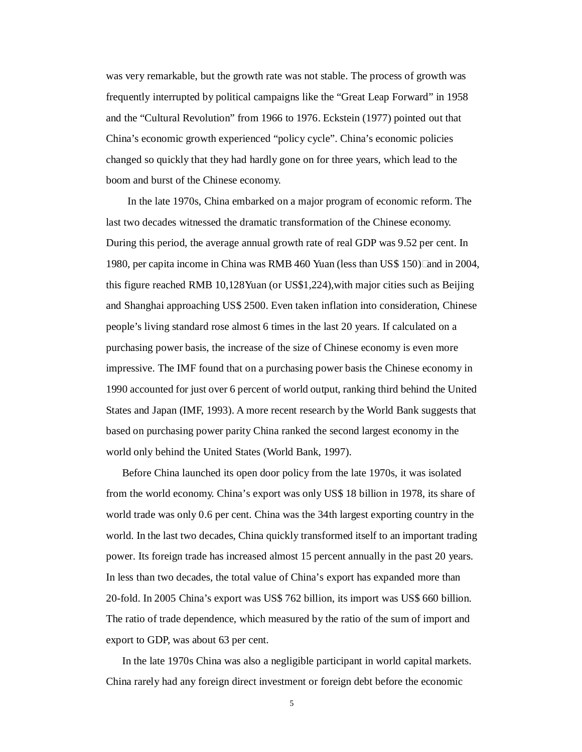was very remarkable, but the growth rate was not stable. The process of growth was frequently interrupted by political campaigns like the "Great Leap Forward" in 1958 and the "Cultural Revolution" from 1966 to 1976. Eckstein (1977) pointed out that China's economic growth experienced "policy cycle". China's economic policies changed so quickly that they had hardly gone on for three years, which lead to the boom and burst of the Chinese economy.

In the late 1970s, China embarked on a major program of economic reform. The last two decades witnessed the dramatic transformation of the Chinese economy. During this period, the average annual growth rate of real GDP was 9.52 per cent. In 1980, per capita income in China was RMB 460 Yuan (less than US\$ 150) Land in 2004, this figure reached RMB 10,128Yuan (or US\$1,224),with major cities such as Beijing and Shanghai approaching US\$ 2500. Even taken inflation into consideration, Chinese people's living standard rose almost 6 times in the last 20 years. If calculated on a purchasing power basis, the increase of the size of Chinese economy is even more impressive. The IMF found that on a purchasing power basis the Chinese economy in 1990 accounted for just over 6 percent of world output, ranking third behind the United States and Japan (IMF, 1993). A more recent research by the World Bank suggests that based on purchasing power parity China ranked the second largest economy in the world only behind the United States (World Bank, 1997).

Before China launched its open door policy from the late 1970s, it was isolated from the world economy. China's export was only US\$ 18 billion in 1978, its share of world trade was only 0.6 per cent. China was the 34th largest exporting country in the world. In the last two decades, China quickly transformed itself to an important trading power. Its foreign trade has increased almost 15 percent annually in the past 20 years. In less than two decades, the total value of China's export has expanded more than 20-fold. In 2005 China's export was US\$ 762 billion, its import was US\$ 660 billion. The ratio of trade dependence, which measured by the ratio of the sum of import and export to GDP, was about 63 per cent.

In the late 1970s China was also a negligible participant in world capital markets. China rarely had any foreign direct investment or foreign debt before the economic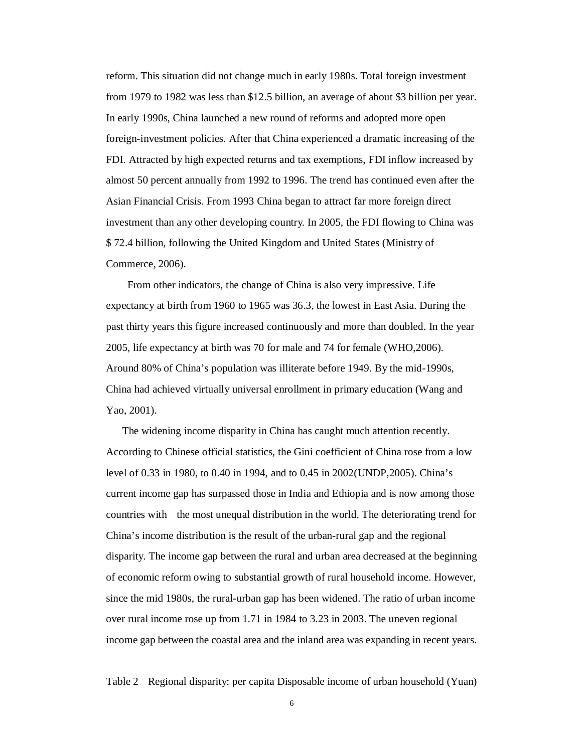reform. This situation did not change much in early 1980s. Total foreign investment from 1979 to 1982 was less than \$12.5 billion, an average of about \$3 billion per year. In early 1990s, China launched a new round of reforms and adopted more open foreign-investment policies. After that China experienced a dramatic increasing of the FDI. Attracted by high expected returns and tax exemptions, FDI inflow increased by almost 50 percent annually from 1992 to 1996. The trend has continued even after the Asian Financial Crisis. From 1993 China began to attract far more foreign direct investment than any other developing country. In 2005, the FDI flowing to China was \$ 72.4 billion, following the United Kingdom and United States (Ministry of Commerce, 2006).

From other indicators, the change of China is also very impressive. Life expectancy at birth from 1960 to 1965 was 36.3, the lowest in East Asia. During the past thirty years this figure increased continuously and more than doubled. In the year 2005, life expectancy at birth was 70 for male and 74 for female (WHO,2006). Around 80% of China's population was illiterate before 1949. By the mid-1990s, China had achieved virtually universal enrollment in primary education (Wang and Yao, 2001).

The widening income disparity in China has caught much attention recently. According to Chinese official statistics, the Gini coefficient of China rose from a low level of 0.33 in 1980, to 0.40 in 1994, and to 0.45 in 2002(UNDP,2005). China's current income gap has surpassed those in India and Ethiopia and is now among those countries with the most unequal distribution in the world. The deteriorating trend for China's income distribution is the result of the urban-rural gap and the regional disparity. The income gap between the rural and urban area decreased at the beginning of economic reform owing to substantial growth of rural household income. However, since the mid 1980s, the rural-urban gap has been widened. The ratio of urban income over rural income rose up from 1.71 in 1984 to 3.23 in 2003. The uneven regional income gap between the coastal area and the inland area was expanding in recent years.

Table 2 Regional disparity: per capita Disposable income of urban household (Yuan)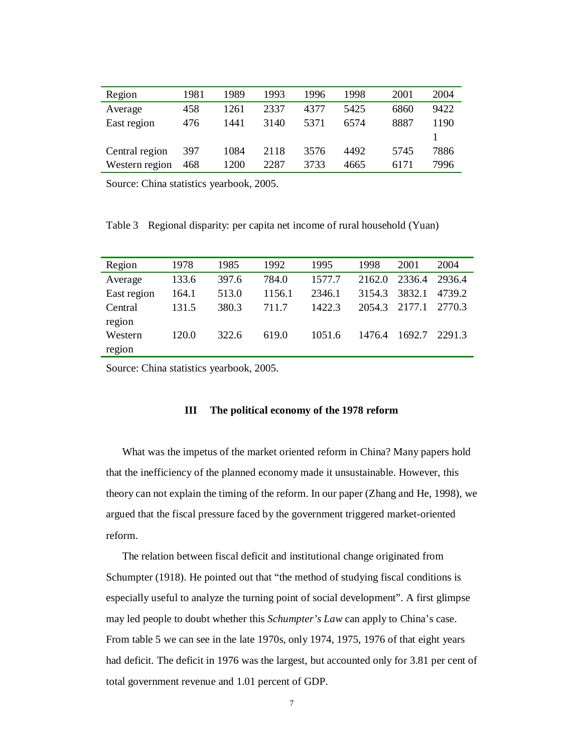| Region         | 1981 | 1989 | 1993 | 1996 | 1998 | 2001 | 2004 |
|----------------|------|------|------|------|------|------|------|
| Average        | 458  | 1261 | 2337 | 4377 | 5425 | 6860 | 9422 |
| East region    | 476  | 1441 | 3140 | 5371 | 6574 | 8887 | 1190 |
|                |      |      |      |      |      |      |      |
| Central region | 397  | 1084 | 2118 | 3576 | 4492 | 5745 | 7886 |
| Western region | 468  | 1200 | 2287 | 3733 | 4665 | 6171 | 7996 |

Source: China statistics yearbook, 2005.

Table 3 Regional disparity: per capita net income of rural household (Yuan)

| Region      | 1978  | 1985  | 1992   | 1995   | 1998   | 2001   | 2004   |
|-------------|-------|-------|--------|--------|--------|--------|--------|
| Average     | 133.6 | 397.6 | 784.0  | 1577.7 | 2162.0 | 2336.4 | 2936.4 |
| East region | 164.1 | 513.0 | 1156.1 | 2346.1 | 3154.3 | 3832.1 | 4739.2 |
| Central     | 131.5 | 380.3 | 711.7  | 1422.3 | 2054.3 | 2177.1 | 2770.3 |
| region      |       |       |        |        |        |        |        |
| Western     | 120.0 | 322.6 | 619.0  | 1051.6 | 1476.4 | 1692.7 | 22913  |
| region      |       |       |        |        |        |        |        |

Source: China statistics yearbook, 2005.

#### **III The political economy of the 1978 reform**

What was the impetus of the market oriented reform in China? Many papers hold that the inefficiency of the planned economy made it unsustainable. However, this theory can not explain the timing of the reform. In our paper (Zhang and He, 1998), we argued that the fiscal pressure faced by the government triggered market-oriented reform.

The relation between fiscal deficit and institutional change originated from Schumpter (1918). He pointed out that "the method of studying fiscal conditions is especially useful to analyze the turning point of social development". A first glimpse may led people to doubt whether this *Schumpter's Law* can apply to China's case. From table 5 we can see in the late 1970s, only 1974, 1975, 1976 of that eight years had deficit. The deficit in 1976 was the largest, but accounted only for 3.81 per cent of total government revenue and 1.01 percent of GDP.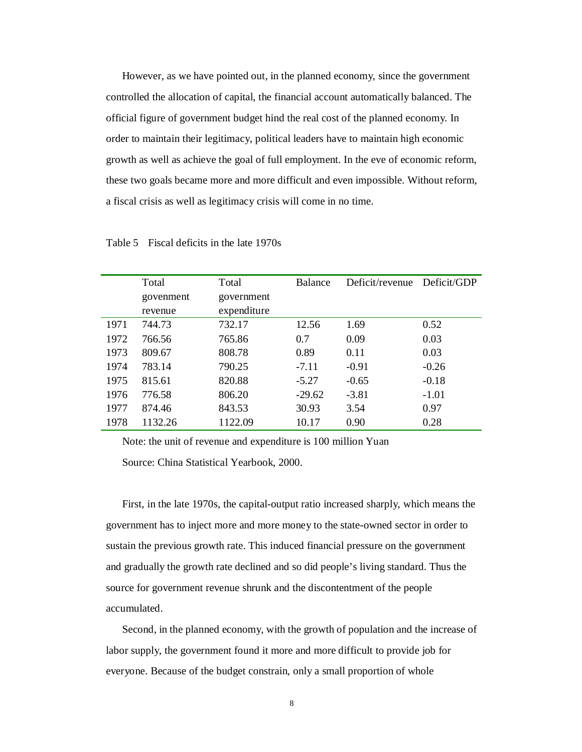However, as we have pointed out, in the planned economy, since the government controlled the allocation of capital, the financial account automatically balanced. The official figure of government budget hind the real cost of the planned economy. In order to maintain their legitimacy, political leaders have to maintain high economic growth as well as achieve the goal of full employment. In the eve of economic reform, these two goals became more and more difficult and even impossible. Without reform, a fiscal crisis as well as legitimacy crisis will come in no time.

|      | Total     | Total       | Balance  | Deficit/revenue Deficit/GDP |         |
|------|-----------|-------------|----------|-----------------------------|---------|
|      | govenment | government  |          |                             |         |
|      | revenue   | expenditure |          |                             |         |
| 1971 | 744.73    | 732.17      | 12.56    | 1.69                        | 0.52    |
| 1972 | 766.56    | 765.86      | 0.7      | 0.09                        | 0.03    |
| 1973 | 809.67    | 808.78      | 0.89     | 0.11                        | 0.03    |
| 1974 | 783.14    | 790.25      | $-7.11$  | $-0.91$                     | $-0.26$ |
| 1975 | 815.61    | 820.88      | $-5.27$  | $-0.65$                     | $-0.18$ |
| 1976 | 776.58    | 806.20      | $-29.62$ | $-3.81$                     | $-1.01$ |
| 1977 | 874.46    | 843.53      | 30.93    | 3.54                        | 0.97    |
| 1978 | 1132.26   | 1122.09     | 10.17    | 0.90                        | 0.28    |

Table 5 Fiscal deficits in the late 1970s

Note: the unit of revenue and expenditure is 100 million Yuan Source: China Statistical Yearbook, 2000.

First, in the late 1970s, the capital-output ratio increased sharply, which means the government has to inject more and more money to the state-owned sector in order to sustain the previous growth rate. This induced financial pressure on the government and gradually the growth rate declined and so did people's living standard. Thus the source for government revenue shrunk and the discontentment of the people accumulated.

Second, in the planned economy, with the growth of population and the increase of labor supply, the government found it more and more difficult to provide job for everyone. Because of the budget constrain, only a small proportion of whole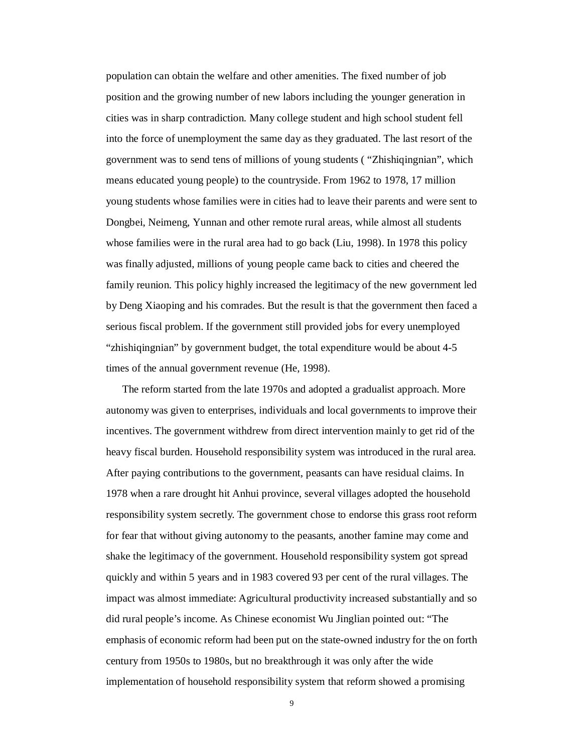population can obtain the welfare and other amenities. The fixed number of job position and the growing number of new labors including the younger generation in cities was in sharp contradiction. Many college student and high school student fell into the force of unemployment the same day as they graduated. The last resort of the government was to send tens of millions of young students ( "Zhishiqingnian", which means educated young people) to the countryside. From 1962 to 1978, 17 million young students whose families were in cities had to leave their parents and were sent to Dongbei, Neimeng, Yunnan and other remote rural areas, while almost all students whose families were in the rural area had to go back (Liu, 1998). In 1978 this policy was finally adjusted, millions of young people came back to cities and cheered the family reunion. This policy highly increased the legitimacy of the new government led by Deng Xiaoping and his comrades. But the result is that the government then faced a serious fiscal problem. If the government still provided jobs for every unemployed "zhishiqingnian" by government budget, the total expenditure would be about 4-5 times of the annual government revenue (He, 1998).

The reform started from the late 1970s and adopted a gradualist approach. More autonomy was given to enterprises, individuals and local governments to improve their incentives. The government withdrew from direct intervention mainly to get rid of the heavy fiscal burden. Household responsibility system was introduced in the rural area. After paying contributions to the government, peasants can have residual claims. In 1978 when a rare drought hit Anhui province, several villages adopted the household responsibility system secretly. The government chose to endorse this grass root reform for fear that without giving autonomy to the peasants, another famine may come and shake the legitimacy of the government. Household responsibility system got spread quickly and within 5 years and in 1983 covered 93 per cent of the rural villages. The impact was almost immediate: Agricultural productivity increased substantially and so did rural people's income. As Chinese economist Wu Jinglian pointed out: "The emphasis of economic reform had been put on the state-owned industry for the on forth century from 1950s to 1980s, but no breakthrough it was only after the wide implementation of household responsibility system that reform showed a promising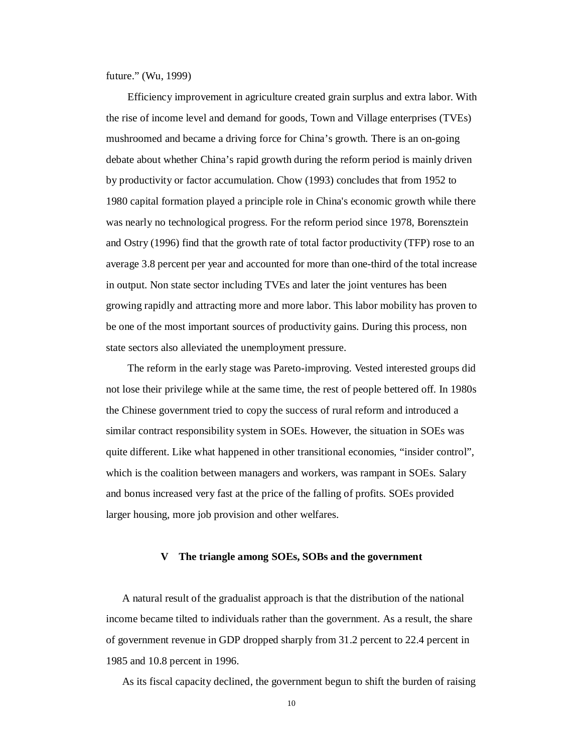future." (Wu, 1999)

Efficiency improvement in agriculture created grain surplus and extra labor. With the rise of income level and demand for goods, Town and Village enterprises (TVEs) mushroomed and became a driving force for China's growth. There is an on-going debate about whether China's rapid growth during the reform period is mainly driven by productivity or factor accumulation. Chow (1993) concludes that from 1952 to 1980 capital formation played a principle role in China's economic growth while there was nearly no technological progress. For the reform period since 1978, Borensztein and Ostry (1996) find that the growth rate of total factor productivity (TFP) rose to an average 3.8 percent per year and accounted for more than one-third of the total increase in output. Non state sector including TVEs and later the joint ventures has been growing rapidly and attracting more and more labor. This labor mobility has proven to be one of the most important sources of productivity gains. During this process, non state sectors also alleviated the unemployment pressure.

The reform in the early stage was Pareto-improving. Vested interested groups did not lose their privilege while at the same time, the rest of people bettered off. In 1980s the Chinese government tried to copy the success of rural reform and introduced a similar contract responsibility system in SOEs. However, the situation in SOEs was quite different. Like what happened in other transitional economies, "insider control", which is the coalition between managers and workers, was rampant in SOEs. Salary and bonus increased very fast at the price of the falling of profits. SOEs provided larger housing, more job provision and other welfares.

#### **V The triangle among SOEs, SOBs and the government**

A natural result of the gradualist approach is that the distribution of the national income became tilted to individuals rather than the government. As a result, the share of government revenue in GDP dropped sharply from 31.2 percent to 22.4 percent in 1985 and 10.8 percent in 1996.

As its fiscal capacity declined, the government begun to shift the burden of raising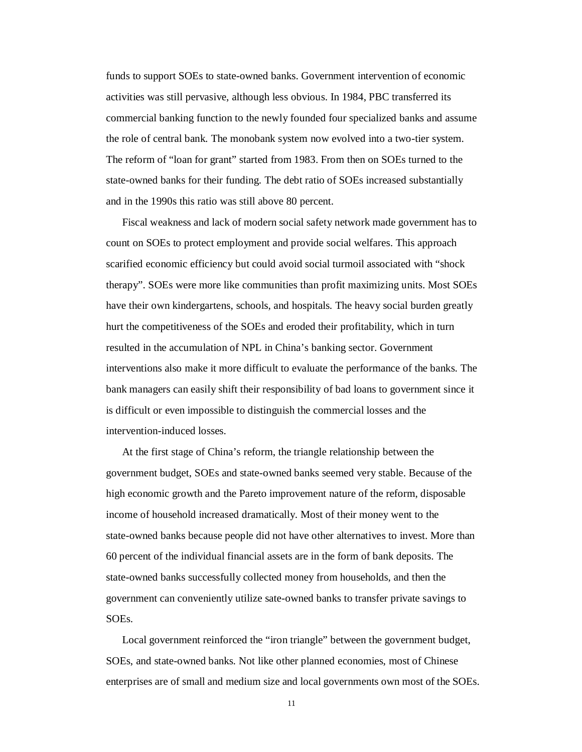funds to support SOEs to state-owned banks. Government intervention of economic activities was still pervasive, although less obvious. In 1984, PBC transferred its commercial banking function to the newly founded four specialized banks and assume the role of central bank. The monobank system now evolved into a two-tier system. The reform of "loan for grant" started from 1983. From then on SOEs turned to the state-owned banks for their funding. The debt ratio of SOEs increased substantially and in the 1990s this ratio was still above 80 percent.

Fiscal weakness and lack of modern social safety network made government has to count on SOEs to protect employment and provide social welfares. This approach scarified economic efficiency but could avoid social turmoil associated with "shock therapy". SOEs were more like communities than profit maximizing units. Most SOEs have their own kindergartens, schools, and hospitals. The heavy social burden greatly hurt the competitiveness of the SOEs and eroded their profitability, which in turn resulted in the accumulation of NPL in China's banking sector. Government interventions also make it more difficult to evaluate the performance of the banks. The bank managers can easily shift their responsibility of bad loans to government since it is difficult or even impossible to distinguish the commercial losses and the intervention-induced losses.

At the first stage of China's reform, the triangle relationship between the government budget, SOEs and state-owned banks seemed very stable. Because of the high economic growth and the Pareto improvement nature of the reform, disposable income of household increased dramatically. Most of their money went to the state-owned banks because people did not have other alternatives to invest. More than 60 percent of the individual financial assets are in the form of bank deposits. The state-owned banks successfully collected money from households, and then the government can conveniently utilize sate-owned banks to transfer private savings to SOEs.

Local government reinforced the "iron triangle" between the government budget, SOEs, and state-owned banks. Not like other planned economies, most of Chinese enterprises are of small and medium size and local governments own most of the SOEs.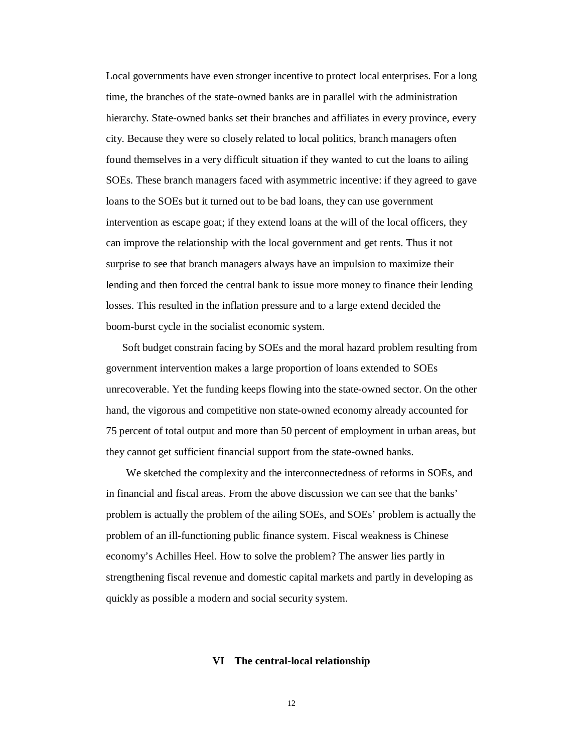Local governments have even stronger incentive to protect local enterprises. For a long time, the branches of the state-owned banks are in parallel with the administration hierarchy. State-owned banks set their branches and affiliates in every province, every city. Because they were so closely related to local politics, branch managers often found themselves in a very difficult situation if they wanted to cut the loans to ailing SOEs. These branch managers faced with asymmetric incentive: if they agreed to gave loans to the SOEs but it turned out to be bad loans, they can use government intervention as escape goat; if they extend loans at the will of the local officers, they can improve the relationship with the local government and get rents. Thus it not surprise to see that branch managers always have an impulsion to maximize their lending and then forced the central bank to issue more money to finance their lending losses. This resulted in the inflation pressure and to a large extend decided the boom-burst cycle in the socialist economic system.

Soft budget constrain facing by SOEs and the moral hazard problem resulting from government intervention makes a large proportion of loans extended to SOEs unrecoverable. Yet the funding keeps flowing into the state-owned sector. On the other hand, the vigorous and competitive non state-owned economy already accounted for 75 percent of total output and more than 50 percent of employment in urban areas, but they cannot get sufficient financial support from the state-owned banks.

We sketched the complexity and the interconnectedness of reforms in SOEs, and in financial and fiscal areas. From the above discussion we can see that the banks' problem is actually the problem of the ailing SOEs, and SOEs' problem is actually the problem of an ill-functioning public finance system. Fiscal weakness is Chinese economy's Achilles Heel. How to solve the problem? The answer lies partly in strengthening fiscal revenue and domestic capital markets and partly in developing as quickly as possible a modern and social security system.

#### **VI The central-local relationship**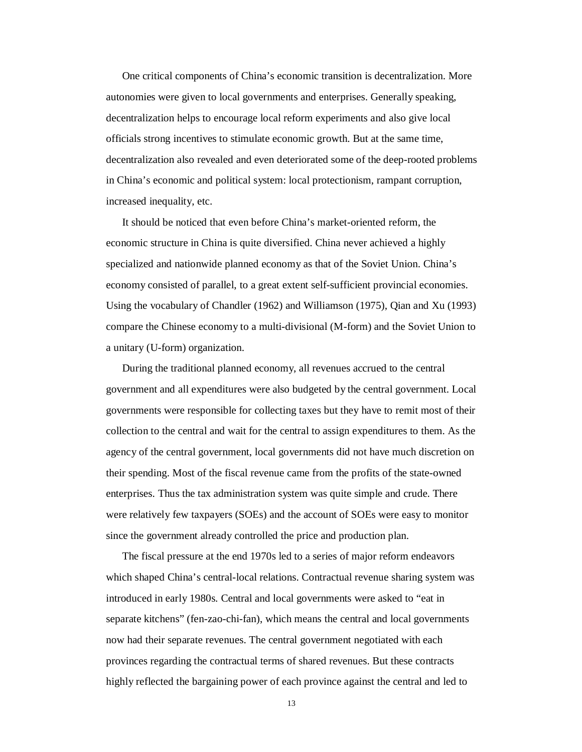One critical components of China's economic transition is decentralization. More autonomies were given to local governments and enterprises. Generally speaking, decentralization helps to encourage local reform experiments and also give local officials strong incentives to stimulate economic growth. But at the same time, decentralization also revealed and even deteriorated some of the deep-rooted problems in China's economic and political system: local protectionism, rampant corruption, increased inequality, etc.

It should be noticed that even before China's market-oriented reform, the economic structure in China is quite diversified. China never achieved a highly specialized and nationwide planned economy as that of the Soviet Union. China's economy consisted of parallel, to a great extent self-sufficient provincial economies. Using the vocabulary of Chandler (1962) and Williamson (1975), Qian and Xu (1993) compare the Chinese economy to a multi-divisional (M-form) and the Soviet Union to a unitary (U-form) organization.

During the traditional planned economy, all revenues accrued to the central government and all expenditures were also budgeted by the central government. Local governments were responsible for collecting taxes but they have to remit most of their collection to the central and wait for the central to assign expenditures to them. As the agency of the central government, local governments did not have much discretion on their spending. Most of the fiscal revenue came from the profits of the state-owned enterprises. Thus the tax administration system was quite simple and crude. There were relatively few taxpayers (SOEs) and the account of SOEs were easy to monitor since the government already controlled the price and production plan.

The fiscal pressure at the end 1970s led to a series of major reform endeavors which shaped China's central-local relations. Contractual revenue sharing system was introduced in early 1980s. Central and local governments were asked to "eat in separate kitchens" (fen-zao-chi-fan), which means the central and local governments now had their separate revenues. The central government negotiated with each provinces regarding the contractual terms of shared revenues. But these contracts highly reflected the bargaining power of each province against the central and led to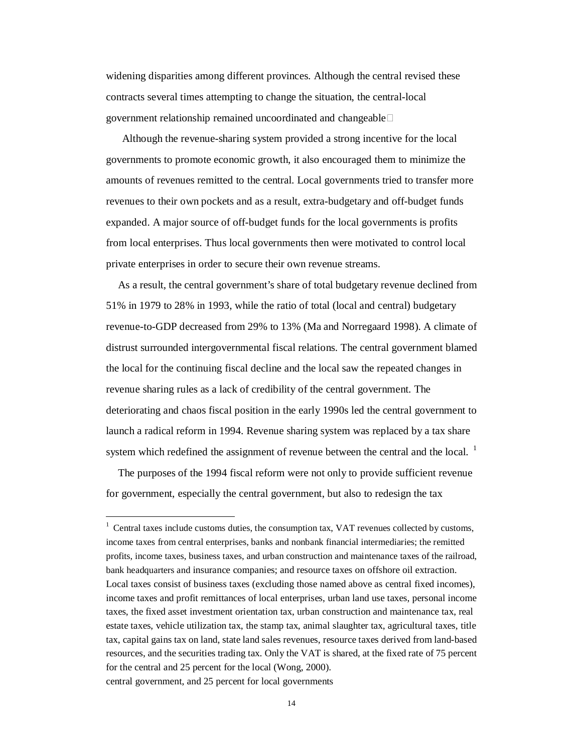widening disparities among different provinces. Although the central revised these contracts several times attempting to change the situation, the central-local government relationship remained uncoordinated and changeable  $\square$ 

Although the revenue-sharing system provided a strong incentive for the local governments to promote economic growth, it also encouraged them to minimize the amounts of revenues remitted to the central. Local governments tried to transfer more revenues to their own pockets and as a result, extra-budgetary and off-budget funds expanded. A major source of off-budget funds for the local governments is profits from local enterprises. Thus local governments then were motivated to control local private enterprises in order to secure their own revenue streams.

As a result, the central government's share of total budgetary revenue declined from 51% in 1979 to 28% in 1993, while the ratio of total (local and central) budgetary revenue-to-GDP decreased from 29% to 13% (Ma and Norregaard 1998). A climate of distrust surrounded intergovernmental fiscal relations. The central government blamed the local for the continuing fiscal decline and the local saw the repeated changes in revenue sharing rules as a lack of credibility of the central government. The deteriorating and chaos fiscal position in the early 1990s led the central government to launch a radical reform in 1994. Revenue sharing system was replaced by a tax share system which redefined the assignment of revenue between the central and the local.  $1$ 

The purposes of the 1994 fiscal reform were not only to provide sufficient revenue for government, especially the central government, but also to redesign the tax

 $1$  Central taxes include customs duties, the consumption tax, VAT revenues collected by customs, income taxes from central enterprises, banks and nonbank financial intermediaries; the remitted profits, income taxes, business taxes, and urban construction and maintenance taxes of the railroad, bank headquarters and insurance companies; and resource taxes on offshore oil extraction. Local taxes consist of business taxes (excluding those named above as central fixed incomes), income taxes and profit remittances of local enterprises, urban land use taxes, personal income taxes, the fixed asset investment orientation tax, urban construction and maintenance tax, real estate taxes, vehicle utilization tax, the stamp tax, animal slaughter tax, agricultural taxes, title tax, capital gains tax on land, state land sales revenues, resource taxes derived from land-based resources, and the securities trading tax. Only the VAT is shared, at the fixed rate of 75 percent for the central and 25 percent for the local (Wong, 2000). central government, and 25 percent for local governments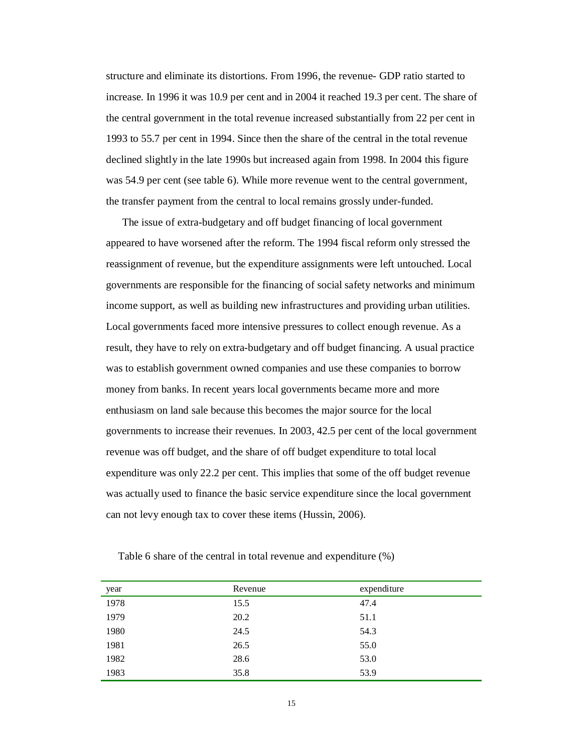structure and eliminate its distortions. From 1996, the revenue- GDP ratio started to increase. In 1996 it was 10.9 per cent and in 2004 it reached 19.3 per cent. The share of the central government in the total revenue increased substantially from 22 per cent in 1993 to 55.7 per cent in 1994. Since then the share of the central in the total revenue declined slightly in the late 1990s but increased again from 1998. In 2004 this figure was 54.9 per cent (see table 6). While more revenue went to the central government, the transfer payment from the central to local remains grossly under-funded.

The issue of extra-budgetary and off budget financing of local government appeared to have worsened after the reform. The 1994 fiscal reform only stressed the reassignment of revenue, but the expenditure assignments were left untouched. Local governments are responsible for the financing of social safety networks and minimum income support, as well as building new infrastructures and providing urban utilities. Local governments faced more intensive pressures to collect enough revenue. As a result, they have to rely on extra-budgetary and off budget financing. A usual practice was to establish government owned companies and use these companies to borrow money from banks. In recent years local governments became more and more enthusiasm on land sale because this becomes the major source for the local governments to increase their revenues. In 2003, 42.5 per cent of the local government revenue was off budget, and the share of off budget expenditure to total local expenditure was only 22.2 per cent. This implies that some of the off budget revenue was actually used to finance the basic service expenditure since the local government can not levy enough tax to cover these items (Hussin, 2006).

| year | Revenue | expenditure |
|------|---------|-------------|
| 1978 | 15.5    | 47.4        |
| 1979 | 20.2    | 51.1        |
| 1980 | 24.5    | 54.3        |
| 1981 | 26.5    | 55.0        |
| 1982 | 28.6    | 53.0        |
| 1983 | 35.8    | 53.9        |

Table 6 share of the central in total revenue and expenditure (%)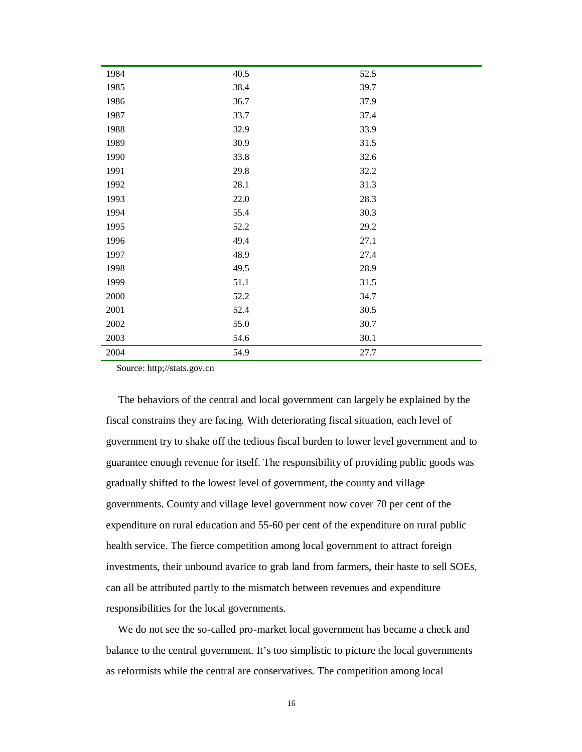| 1984 | 40.5 | 52.5 |
|------|------|------|
| 1985 | 38.4 | 39.7 |
| 1986 | 36.7 | 37.9 |
| 1987 | 33.7 | 37.4 |
| 1988 | 32.9 | 33.9 |
|      |      |      |
| 1989 | 30.9 | 31.5 |
| 1990 | 33.8 | 32.6 |
| 1991 | 29.8 | 32.2 |
| 1992 | 28.1 | 31.3 |
| 1993 | 22.0 | 28.3 |
| 1994 | 55.4 | 30.3 |
| 1995 | 52.2 | 29.2 |
| 1996 | 49.4 | 27.1 |
| 1997 | 48.9 | 27.4 |
| 1998 | 49.5 | 28.9 |
| 1999 | 51.1 | 31.5 |
| 2000 | 52.2 | 34.7 |
| 2001 | 52.4 | 30.5 |
| 2002 | 55.0 | 30.7 |
| 2003 | 54.6 | 30.1 |
| 2004 | 54.9 | 27.7 |

Source: http;//stats.gov.cn

The behaviors of the central and local government can largely be explained by the fiscal constrains they are facing. With deteriorating fiscal situation, each level of government try to shake off the tedious fiscal burden to lower level government and to guarantee enough revenue for itself. The responsibility of providing public goods was gradually shifted to the lowest level of government, the county and village governments. County and village level government now cover 70 per cent of the expenditure on rural education and 55-60 per cent of the expenditure on rural public health service. The fierce competition among local government to attract foreign investments, their unbound avarice to grab land from farmers, their haste to sell SOEs, can all be attributed partly to the mismatch between revenues and expenditure responsibilities for the local governments.

We do not see the so-called pro-market local government has became a check and balance to the central government. It's too simplistic to picture the local governments as reformists while the central are conservatives. The competition among local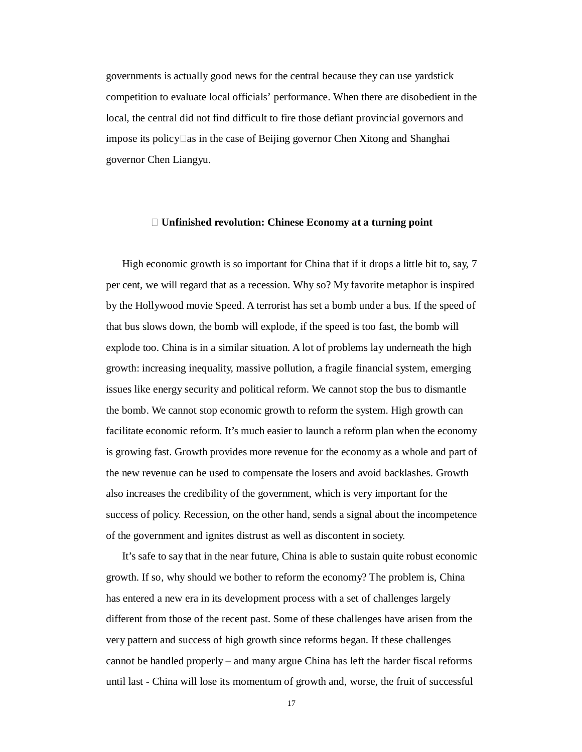governments is actually good news for the central because they can use yardstick competition to evaluate local officials' performance. When there are disobedient in the local, the central did not find difficult to fire those defiant provincial governors and impose its policy $\Box$ as in the case of Beijing governor Chen Xitong and Shanghai governor Chen Liangyu.

#### **Ⅷ Unfinished revolution: Chinese Economy at a turning point**

High economic growth is so important for China that if it drops a little bit to, say, 7 per cent, we will regard that as a recession. Why so? My favorite metaphor is inspired by the Hollywood movie Speed. A terrorist has set a bomb under a bus. If the speed of that bus slows down, the bomb will explode, if the speed is too fast, the bomb will explode too. China is in a similar situation. A lot of problems lay underneath the high growth: increasing inequality, massive pollution, a fragile financial system, emerging issues like energy security and political reform. We cannot stop the bus to dismantle the bomb. We cannot stop economic growth to reform the system. High growth can facilitate economic reform. It's much easier to launch a reform plan when the economy is growing fast. Growth provides more revenue for the economy as a whole and part of the new revenue can be used to compensate the losers and avoid backlashes. Growth also increases the credibility of the government, which is very important for the success of policy. Recession, on the other hand, sends a signal about the incompetence of the government and ignites distrust as well as discontent in society.

It's safe to say that in the near future, China is able to sustain quite robust economic growth. If so, why should we bother to reform the economy? The problem is, China has entered a new era in its development process with a set of challenges largely different from those of the recent past. Some of these challenges have arisen from the very pattern and success of high growth since reforms began. If these challenges cannot be handled properly – and many argue China has left the harder fiscal reforms until last - China will lose its momentum of growth and, worse, the fruit of successful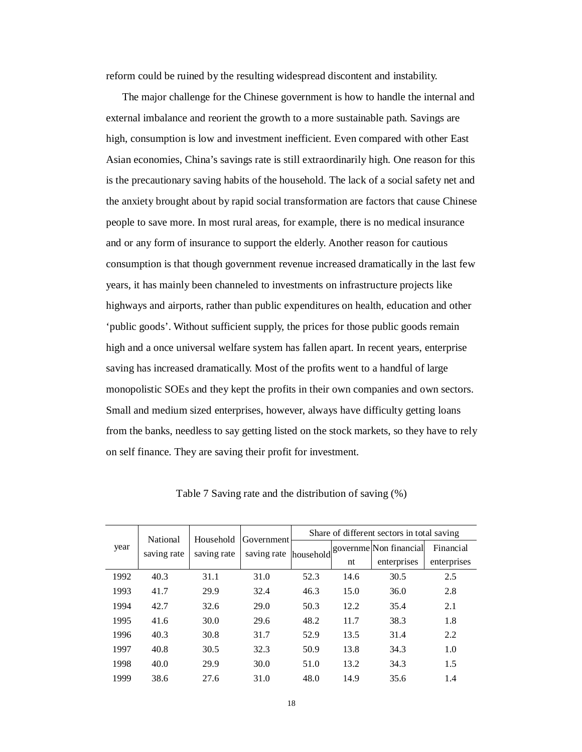reform could be ruined by the resulting widespread discontent and instability.

The major challenge for the Chinese government is how to handle the internal and external imbalance and reorient the growth to a more sustainable path. Savings are high, consumption is low and investment inefficient. Even compared with other East Asian economies, China's savings rate is still extraordinarily high. One reason for this is the precautionary saving habits of the household. The lack of a social safety net and the anxiety brought about by rapid social transformation are factors that cause Chinese people to save more. In most rural areas, for example, there is no medical insurance and or any form of insurance to support the elderly. Another reason for cautious consumption is that though government revenue increased dramatically in the last few years, it has mainly been channeled to investments on infrastructure projects like highways and airports, rather than public expenditures on health, education and other 'public goods'. Without sufficient supply, the prices for those public goods remain high and a once universal welfare system has fallen apart. In recent years, enterprise saving has increased dramatically. Most of the profits went to a handful of large monopolistic SOEs and they kept the profits in their own companies and own sectors. Small and medium sized enterprises, however, always have difficulty getting loans from the banks, needless to say getting listed on the stock markets, so they have to rely on self finance. They are saving their profit for investment.

| Household<br>National<br>year<br>saving rate |      |             | Government  | Share of different sectors in total saving |      |                        |             |  |
|----------------------------------------------|------|-------------|-------------|--------------------------------------------|------|------------------------|-------------|--|
|                                              |      | saving rate | saving rate | household                                  |      | governme Non financial | Financial   |  |
|                                              |      |             |             |                                            | nt   | enterprises            | enterprises |  |
| 1992                                         | 40.3 | 31.1        | 31.0        | 52.3                                       | 14.6 | 30.5                   | 2.5         |  |
| 1993                                         | 41.7 | 29.9        | 32.4        | 46.3                                       | 15.0 | 36.0                   | 2.8         |  |
| 1994                                         | 42.7 | 32.6        | 29.0        | 50.3                                       | 12.2 | 35.4                   | 2.1         |  |
| 1995                                         | 41.6 | 30.0        | 29.6        | 48.2                                       | 11.7 | 38.3                   | 1.8         |  |
| 1996                                         | 40.3 | 30.8        | 31.7        | 52.9                                       | 13.5 | 31.4                   | 2.2         |  |
| 1997                                         | 40.8 | 30.5        | 32.3        | 50.9                                       | 13.8 | 34.3                   | 1.0         |  |
| 1998                                         | 40.0 | 29.9        | 30.0        | 51.0                                       | 13.2 | 34.3                   | 1.5         |  |
| 1999                                         | 38.6 | 27.6        | 31.0        | 48.0                                       | 14.9 | 35.6                   | 1.4         |  |

Table 7 Saving rate and the distribution of saving (%)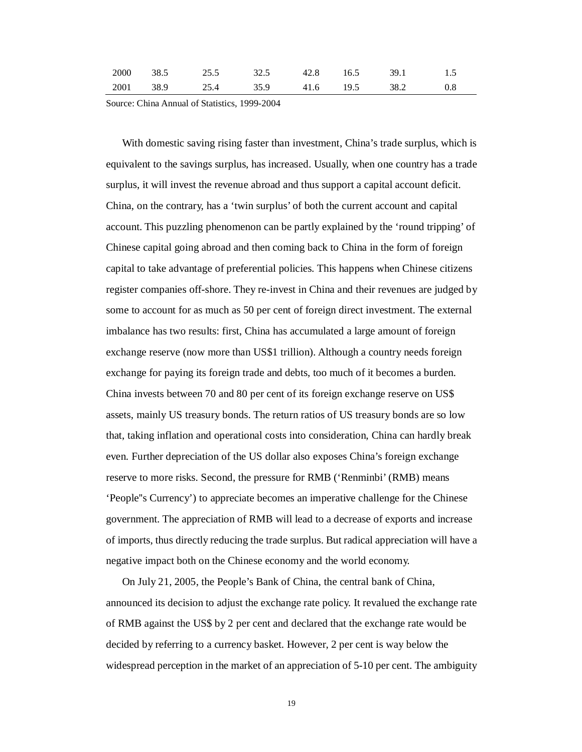| 2000 38.5 25.5 32.5 42.8 16.5 |  |  | 39.1 1.5                               |  |
|-------------------------------|--|--|----------------------------------------|--|
|                               |  |  | 2001 38.9 25.4 35.9 41.6 19.5 38.2 0.8 |  |

Source: China Annual of Statistics, 1999-2004

With domestic saving rising faster than investment, China's trade surplus, which is equivalent to the savings surplus, has increased. Usually, when one country has a trade surplus, it will invest the revenue abroad and thus support a capital account deficit. China, on the contrary, has a 'twin surplus' of both the current account and capital account. This puzzling phenomenon can be partly explained by the 'round tripping' of Chinese capital going abroad and then coming back to China in the form of foreign capital to take advantage of preferential policies. This happens when Chinese citizens register companies off-shore. They re-invest in China and their revenues are judged by some to account for as much as 50 per cent of foreign direct investment. The external imbalance has two results: first, China has accumulated a large amount of foreign exchange reserve (now more than US\$1 trillion). Although a country needs foreign exchange for paying its foreign trade and debts, too much of it becomes a burden. China invests between 70 and 80 per cent of its foreign exchange reserve on US\$ assets, mainly US treasury bonds. The return ratios of US treasury bonds are so low that, taking inflation and operational costs into consideration, China can hardly break even. Further depreciation of the US dollar also exposes China's foreign exchange reserve to more risks. Second, the pressure for RMB ('Renminbi' (RMB) means 'People''s Currency') to appreciate becomes an imperative challenge for the Chinese government. The appreciation of RMB will lead to a decrease of exports and increase of imports, thus directly reducing the trade surplus. But radical appreciation will have a negative impact both on the Chinese economy and the world economy.

On July 21, 2005, the People's Bank of China, the central bank of China, announced its decision to adjust the exchange rate policy. It revalued the exchange rate of RMB against the US\$ by 2 per cent and declared that the exchange rate would be decided by referring to a currency basket. However, 2 per cent is way below the widespread perception in the market of an appreciation of 5-10 per cent. The ambiguity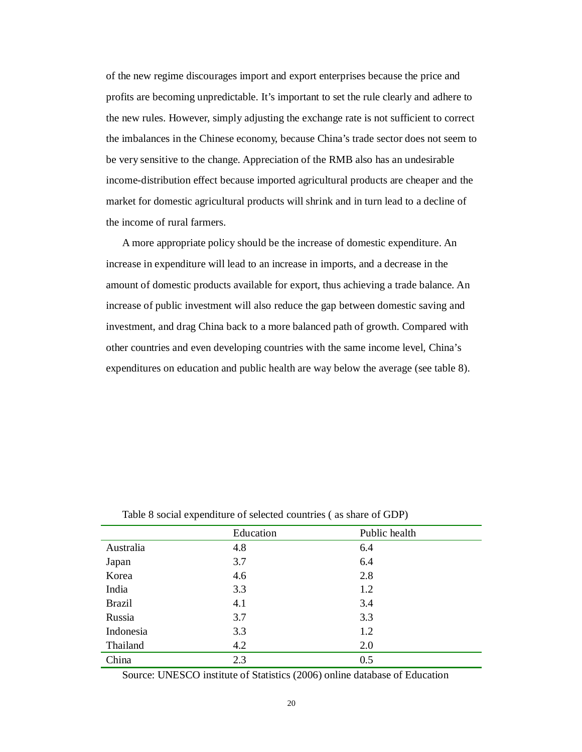of the new regime discourages import and export enterprises because the price and profits are becoming unpredictable. It's important to set the rule clearly and adhere to the new rules. However, simply adjusting the exchange rate is not sufficient to correct the imbalances in the Chinese economy, because China's trade sector does not seem to be very sensitive to the change. Appreciation of the RMB also has an undesirable income-distribution effect because imported agricultural products are cheaper and the market for domestic agricultural products will shrink and in turn lead to a decline of the income of rural farmers.

A more appropriate policy should be the increase of domestic expenditure. An increase in expenditure will lead to an increase in imports, and a decrease in the amount of domestic products available for export, thus achieving a trade balance. An increase of public investment will also reduce the gap between domestic saving and investment, and drag China back to a more balanced path of growth. Compared with other countries and even developing countries with the same income level, China's expenditures on education and public health are way below the average (see table 8).

|               | Education | Public health |
|---------------|-----------|---------------|
| Australia     | 4.8       | 6.4           |
| Japan         | 3.7       | 6.4           |
| Korea         | 4.6       | 2.8           |
| India         | 3.3       | 1.2           |
| <b>Brazil</b> | 4.1       | 3.4           |
| Russia        | 3.7       | 3.3           |
| Indonesia     | 3.3       | 1.2           |
| Thailand      | 4.2       | 2.0           |
| China         | 2.3       | 0.5           |

Table 8 social expenditure of selected countries ( as share of GDP)

Source: UNESCO institute of Statistics (2006) online database of Education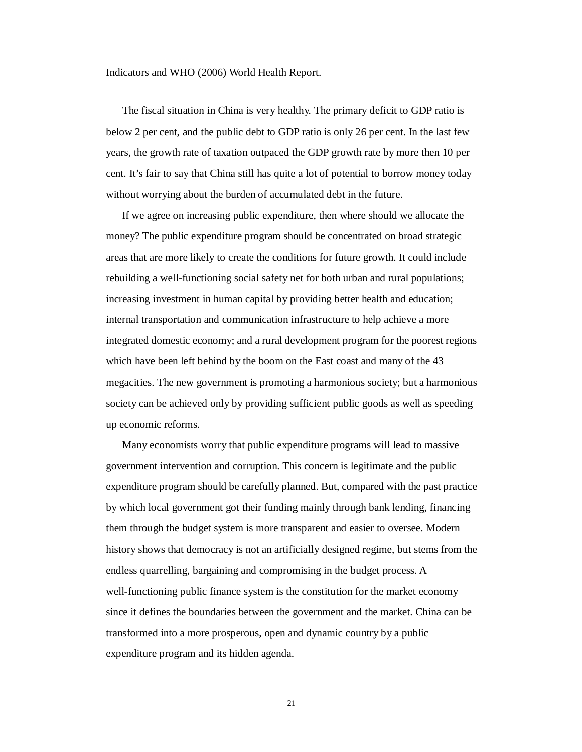Indicators and WHO (2006) World Health Report.

The fiscal situation in China is very healthy. The primary deficit to GDP ratio is below 2 per cent, and the public debt to GDP ratio is only 26 per cent. In the last few years, the growth rate of taxation outpaced the GDP growth rate by more then 10 per cent. It's fair to say that China still has quite a lot of potential to borrow money today without worrying about the burden of accumulated debt in the future.

If we agree on increasing public expenditure, then where should we allocate the money? The public expenditure program should be concentrated on broad strategic areas that are more likely to create the conditions for future growth. It could include rebuilding a well-functioning social safety net for both urban and rural populations; increasing investment in human capital by providing better health and education; internal transportation and communication infrastructure to help achieve a more integrated domestic economy; and a rural development program for the poorest regions which have been left behind by the boom on the East coast and many of the 43 megacities. The new government is promoting a harmonious society; but a harmonious society can be achieved only by providing sufficient public goods as well as speeding up economic reforms.

Many economists worry that public expenditure programs will lead to massive government intervention and corruption. This concern is legitimate and the public expenditure program should be carefully planned. But, compared with the past practice by which local government got their funding mainly through bank lending, financing them through the budget system is more transparent and easier to oversee. Modern history shows that democracy is not an artificially designed regime, but stems from the endless quarrelling, bargaining and compromising in the budget process. A well-functioning public finance system is the constitution for the market economy since it defines the boundaries between the government and the market. China can be transformed into a more prosperous, open and dynamic country by a public expenditure program and its hidden agenda.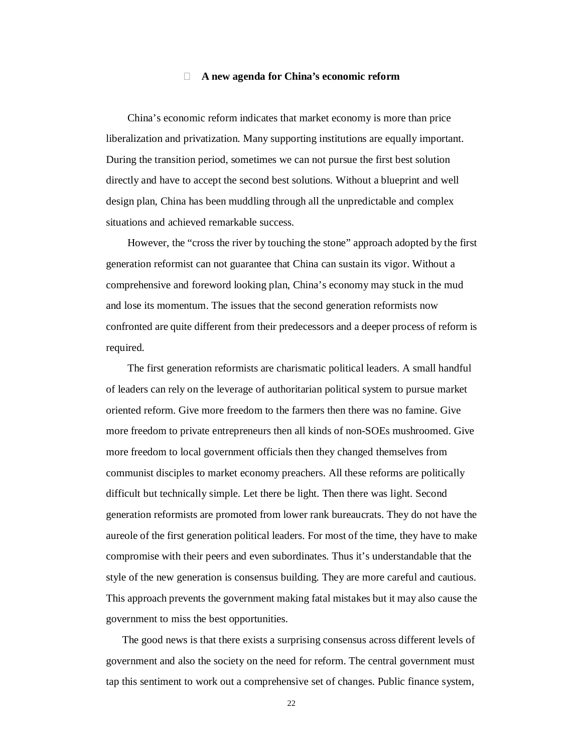#### **Ⅸ A new agenda for China's economic reform**

China's economic reform indicates that market economy is more than price liberalization and privatization. Many supporting institutions are equally important. During the transition period, sometimes we can not pursue the first best solution directly and have to accept the second best solutions. Without a blueprint and well design plan, China has been muddling through all the unpredictable and complex situations and achieved remarkable success.

However, the "cross the river by touching the stone" approach adopted by the first generation reformist can not guarantee that China can sustain its vigor. Without a comprehensive and foreword looking plan, China's economy may stuck in the mud and lose its momentum. The issues that the second generation reformists now confronted are quite different from their predecessors and a deeper process of reform is required.

The first generation reformists are charismatic political leaders. A small handful of leaders can rely on the leverage of authoritarian political system to pursue market oriented reform. Give more freedom to the farmers then there was no famine. Give more freedom to private entrepreneurs then all kinds of non-SOEs mushroomed. Give more freedom to local government officials then they changed themselves from communist disciples to market economy preachers. All these reforms are politically difficult but technically simple. Let there be light. Then there was light. Second generation reformists are promoted from lower rank bureaucrats. They do not have the aureole of the first generation political leaders. For most of the time, they have to make compromise with their peers and even subordinates. Thus it's understandable that the style of the new generation is consensus building. They are more careful and cautious. This approach prevents the government making fatal mistakes but it may also cause the government to miss the best opportunities.

The good news is that there exists a surprising consensus across different levels of government and also the society on the need for reform. The central government must tap this sentiment to work out a comprehensive set of changes. Public finance system,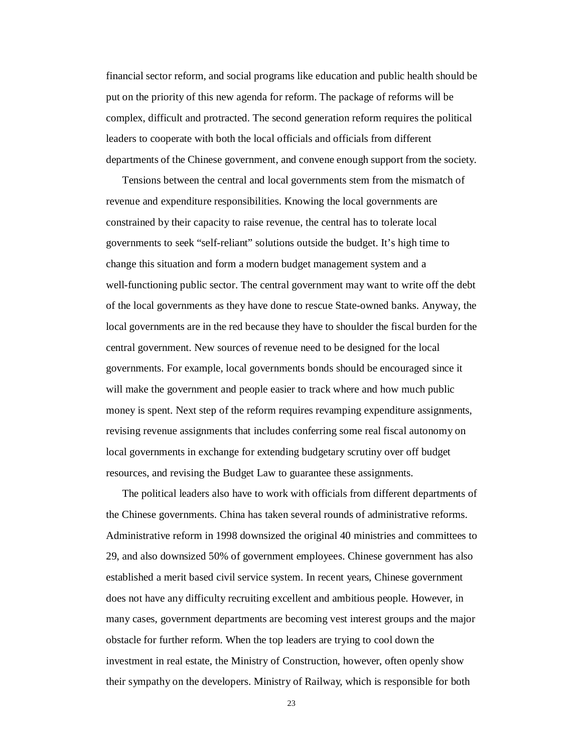financial sector reform, and social programs like education and public health should be put on the priority of this new agenda for reform. The package of reforms will be complex, difficult and protracted. The second generation reform requires the political leaders to cooperate with both the local officials and officials from different departments of the Chinese government, and convene enough support from the society.

Tensions between the central and local governments stem from the mismatch of revenue and expenditure responsibilities. Knowing the local governments are constrained by their capacity to raise revenue, the central has to tolerate local governments to seek "self-reliant" solutions outside the budget. It's high time to change this situation and form a modern budget management system and a well-functioning public sector. The central government may want to write off the debt of the local governments as they have done to rescue State-owned banks. Anyway, the local governments are in the red because they have to shoulder the fiscal burden for the central government. New sources of revenue need to be designed for the local governments. For example, local governments bonds should be encouraged since it will make the government and people easier to track where and how much public money is spent. Next step of the reform requires revamping expenditure assignments, revising revenue assignments that includes conferring some real fiscal autonomy on local governments in exchange for extending budgetary scrutiny over off budget resources, and revising the Budget Law to guarantee these assignments.

The political leaders also have to work with officials from different departments of the Chinese governments. China has taken several rounds of administrative reforms. Administrative reform in 1998 downsized the original 40 ministries and committees to 29, and also downsized 50% of government employees. Chinese government has also established a merit based civil service system. In recent years, Chinese government does not have any difficulty recruiting excellent and ambitious people. However, in many cases, government departments are becoming vest interest groups and the major obstacle for further reform. When the top leaders are trying to cool down the investment in real estate, the Ministry of Construction, however, often openly show their sympathy on the developers. Ministry of Railway, which is responsible for both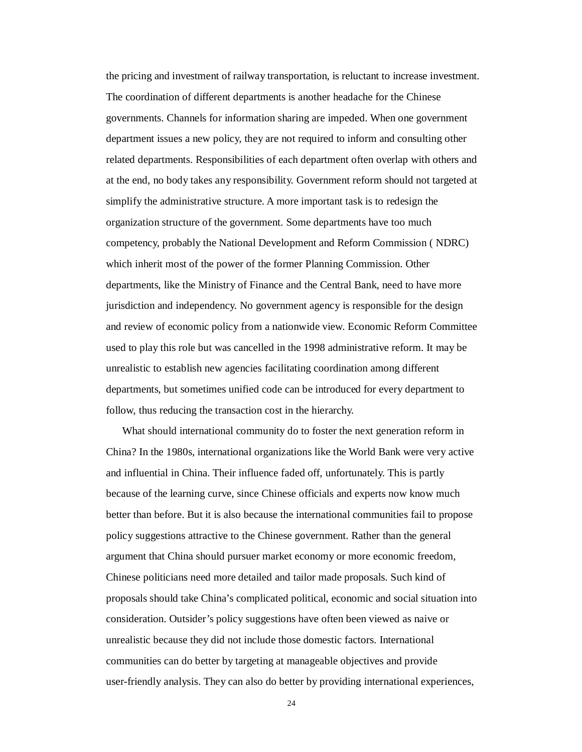the pricing and investment of railway transportation, is reluctant to increase investment. The coordination of different departments is another headache for the Chinese governments. Channels for information sharing are impeded. When one government department issues a new policy, they are not required to inform and consulting other related departments. Responsibilities of each department often overlap with others and at the end, no body takes any responsibility. Government reform should not targeted at simplify the administrative structure. A more important task is to redesign the organization structure of the government. Some departments have too much competency, probably the National Development and Reform Commission ( NDRC) which inherit most of the power of the former Planning Commission. Other departments, like the Ministry of Finance and the Central Bank, need to have more jurisdiction and independency. No government agency is responsible for the design and review of economic policy from a nationwide view. Economic Reform Committee used to play this role but was cancelled in the 1998 administrative reform. It may be unrealistic to establish new agencies facilitating coordination among different departments, but sometimes unified code can be introduced for every department to follow, thus reducing the transaction cost in the hierarchy.

What should international community do to foster the next generation reform in China? In the 1980s, international organizations like the World Bank were very active and influential in China. Their influence faded off, unfortunately. This is partly because of the learning curve, since Chinese officials and experts now know much better than before. But it is also because the international communities fail to propose policy suggestions attractive to the Chinese government. Rather than the general argument that China should pursuer market economy or more economic freedom, Chinese politicians need more detailed and tailor made proposals. Such kind of proposals should take China's complicated political, economic and social situation into consideration. Outsider's policy suggestions have often been viewed as naive or unrealistic because they did not include those domestic factors. International communities can do better by targeting at manageable objectives and provide user-friendly analysis. They can also do better by providing international experiences,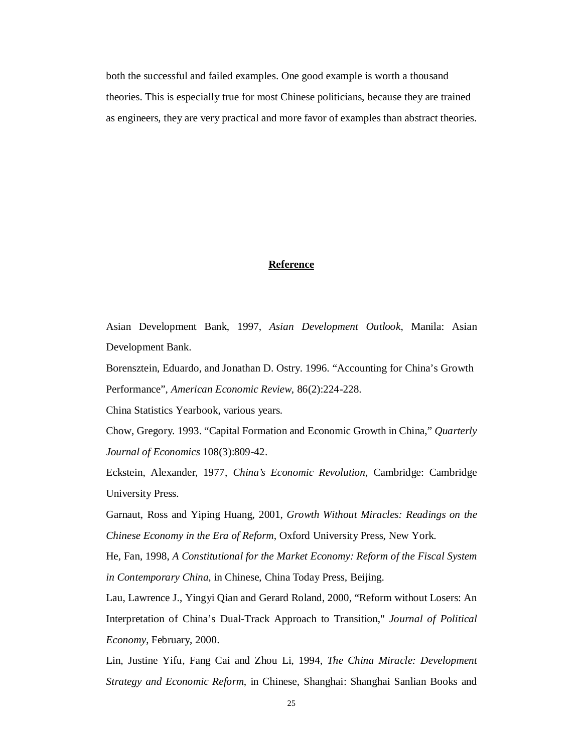both the successful and failed examples. One good example is worth a thousand theories. This is especially true for most Chinese politicians, because they are trained as engineers, they are very practical and more favor of examples than abstract theories.

#### **Reference**

Asian Development Bank, 1997, *Asian Development Outlook*, Manila: Asian Development Bank.

Borensztein, Eduardo, and Jonathan D. Ostry. 1996. "Accounting for China's Growth Performance", *American Economic Review*, 86(2):224-228.

China Statistics Yearbook, various years.

Chow, Gregory. 1993. "Capital Formation and Economic Growth in China," *Quarterly Journal of Economics* 108(3):809-42.

Eckstein, Alexander, 1977, *China's Economic Revolution*, Cambridge: Cambridge University Press.

Garnaut, Ross and Yiping Huang, 2001, *Growth Without Miracles: Readings on the Chinese Economy in the Era of Reform*, Oxford University Press, New York.

He, Fan, 1998, *A Constitutional for the Market Economy: Reform of the Fiscal System in Contemporary China*, in Chinese, China Today Press, Beijing.

Lau, Lawrence J., Yingyi Qian and Gerard Roland, 2000, "Reform without Losers: An Interpretation of China's Dual-Track Approach to Transition," *Journal of Political Economy*, February, 2000.

Lin, Justine Yifu, Fang Cai and Zhou Li, 1994, *The China Miracle: Development Strategy and Economic Reform*, in Chinese, Shanghai: Shanghai Sanlian Books and